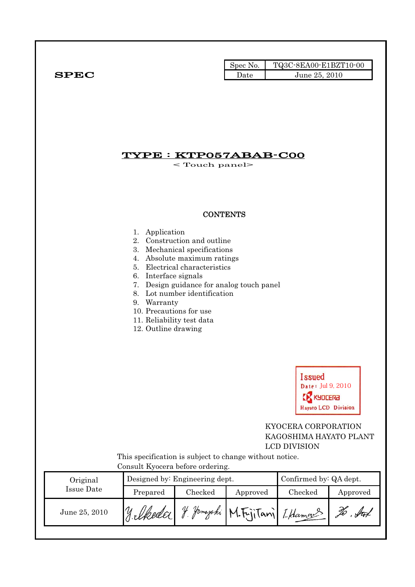|              | Spec No. | TQ3C-8EA00-E1BZT10-00 |
|--------------|----------|-----------------------|
| ${\bf SPEC}$ | Date     | June 25, 2010         |

# TYPE : KTP057ABAB-C00

< Touch panel>

## **CONTENTS**

#### 1. Application

- 2. Construction and outline
- 3. Mechanical specifications
- 4. Absolute maximum ratings
- 5. Electrical characteristics
- 6. Interface signals
- 7. Design guidance for analog touch panel
- 8. Lot number identification
- 9. Warranty
- 10. Precautions for use
- 11. Reliability test data
- 12. Outline drawing



## KYOCERA CORPORATION KAGOSHIMA HAYATO PLANT LCD DIVISION

 This specification is subject to change without notice. Consult Kyocera before ordering.

| Original      |            | Designed by: Engineering dept. | Confirmed by: QA dept.         |         |          |
|---------------|------------|--------------------------------|--------------------------------|---------|----------|
| Issue Date    | Prepared   | Checked                        | Approved                       | Checked | Approved |
| June 25, 2010 | 11. Ukedar | $\mathcal U$                   | Jamaraki M. FijiTani I. Hamang |         | H        |
|               |            |                                |                                |         |          |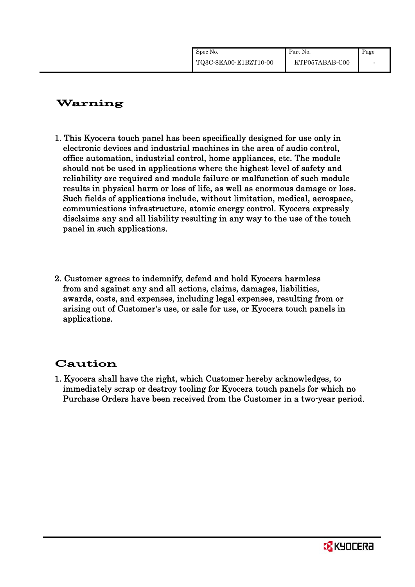| Spec No.              | Part No.       | Page |
|-----------------------|----------------|------|
| TQ3C-8EA00-E1BZT10-00 | KTP057ABAB-C00 |      |

# Warning

- 1. This Kyocera touch panel has been specifically designed for use only in electronic devices and industrial machines in the area of audio control, office automation, industrial control, home appliances, etc. The module should not be used in applications where the highest level of safety and reliability are required and module failure or malfunction of such module results in physical harm or loss of life, as well as enormous damage or loss. Such fields of applications include, without limitation, medical, aerospace, communications infrastructure, atomic energy control. Kyocera expressly disclaims any and all liability resulting in any way to the use of the touch panel in such applications.
- 2. Customer agrees to indemnify, defend and hold Kyocera harmless from and against any and all actions, claims, damages, liabilities, awards, costs, and expenses, including legal expenses, resulting from or arising out of Customer's use, or sale for use, or Kyocera touch panels in applications.

# Caution

1. Kyocera shall have the right, which Customer hereby acknowledges, to immediately scrap or destroy tooling for Kyocera touch panels for which no Purchase Orders have been received from the Customer in a two-year period.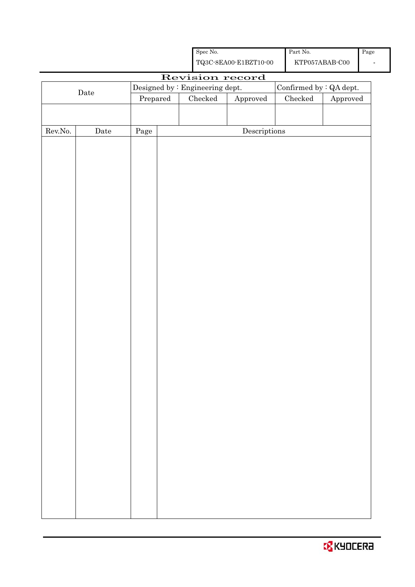|                  |             |            | Spec No.                        |                                                    | Part No.                |                        | Page |
|------------------|-------------|------------|---------------------------------|----------------------------------------------------|-------------------------|------------------------|------|
|                  |             |            |                                 | ${\bf TQ3C\text{-}SEAOO\text{-}E1BZT10\text{-}O0}$ | KTP057ABAB-C00          |                        |      |
|                  |             |            |                                 | Revision record                                    |                         |                        |      |
|                  |             |            | Designed by : Engineering dept. |                                                    | Confirmed by : QA dept. |                        |      |
|                  | $\rm{Date}$ | Prepared   | $\rm Checked$                   | Approved                                           | $\rm Checked$           | ${\Large\bf Approved}$ |      |
|                  |             |            |                                 |                                                    |                         |                        |      |
|                  |             |            |                                 |                                                    |                         |                        |      |
| ${\rm Rev. No.}$ | Date        | $\rm Page$ |                                 | Descriptions                                       |                         |                        |      |
|                  |             |            |                                 |                                                    |                         |                        |      |
|                  |             |            |                                 |                                                    |                         |                        |      |
|                  |             |            |                                 |                                                    |                         |                        |      |
|                  |             |            |                                 |                                                    |                         |                        |      |
|                  |             |            |                                 |                                                    |                         |                        |      |
|                  |             |            |                                 |                                                    |                         |                        |      |
|                  |             |            |                                 |                                                    |                         |                        |      |
|                  |             |            |                                 |                                                    |                         |                        |      |
|                  |             |            |                                 |                                                    |                         |                        |      |
|                  |             |            |                                 |                                                    |                         |                        |      |
|                  |             |            |                                 |                                                    |                         |                        |      |
|                  |             |            |                                 |                                                    |                         |                        |      |
|                  |             |            |                                 |                                                    |                         |                        |      |
|                  |             |            |                                 |                                                    |                         |                        |      |
|                  |             |            |                                 |                                                    |                         |                        |      |
|                  |             |            |                                 |                                                    |                         |                        |      |
|                  |             |            |                                 |                                                    |                         |                        |      |
|                  |             |            |                                 |                                                    |                         |                        |      |
|                  |             |            |                                 |                                                    |                         |                        |      |
|                  |             |            |                                 |                                                    |                         |                        |      |
|                  |             |            |                                 |                                                    |                         |                        |      |
|                  |             |            |                                 |                                                    |                         |                        |      |
|                  |             |            |                                 |                                                    |                         |                        |      |
|                  |             |            |                                 |                                                    |                         |                        |      |
|                  |             |            |                                 |                                                    |                         |                        |      |
|                  |             |            |                                 |                                                    |                         |                        |      |
|                  |             |            |                                 |                                                    |                         |                        |      |
|                  |             |            |                                 |                                                    |                         |                        |      |
|                  |             |            |                                 |                                                    |                         |                        |      |
|                  |             |            |                                 |                                                    |                         |                        |      |
|                  |             |            |                                 |                                                    |                         |                        |      |
|                  |             |            |                                 |                                                    |                         |                        |      |
|                  |             |            |                                 |                                                    |                         |                        |      |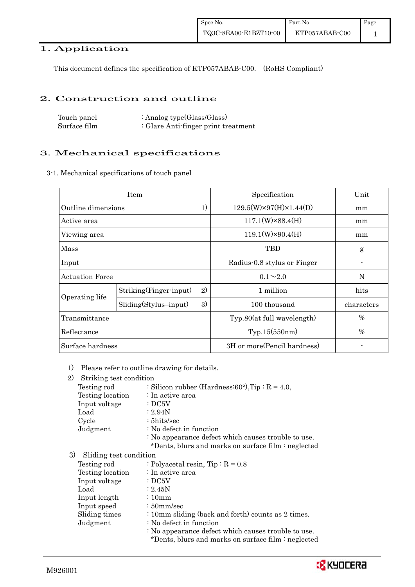## 1. Application

This document defines the specification of KTP057ABAB-C00. (RoHS Compliant)

### 2. Construction and outline

| Touch panel  | : Analog type $(Glass/Glass)$       |
|--------------|-------------------------------------|
| Surface film | : Glare Anti-finger print treatment |

## 3. Mechanical specifications

3-1. Mechanical specifications of touch panel

|                          | Item                          | Specification                      | Unit       |
|--------------------------|-------------------------------|------------------------------------|------------|
| 1)<br>Outline dimensions |                               | $129.5(W)\times97(H)\times1.44(D)$ | mm         |
| Active area              |                               | $117.1(W)\times88.4(H)$            | mm         |
| Viewing area             |                               | $119.1(W)\times 90.4(H)$           | mm         |
| Mass                     |                               | <b>TBD</b>                         | g          |
| Input                    |                               | Radius-0.8 stylus or Finger        |            |
| <b>Actuation Force</b>   |                               | $0.1 \sim 2.0$                     | N          |
|                          | 2)<br>Striking(Finger-input)  | 1 million                          | hits       |
| Operating life           | 3)<br>$Sliding(Stylus-input)$ | 100 thousand                       | characters |
| Transmittance            |                               | Typ.80(at full wavelength)         | %          |
| Reflectance              |                               | Typ.15(550nm)                      | $\%$       |
| Surface hardness         |                               | 3H or more (Pencil hardness)       |            |

1) Please refer to outline drawing for details.

| 2)<br>Striking test condition |                                                                                                            |
|-------------------------------|------------------------------------------------------------------------------------------------------------|
| Testing rod                   | : Silicon rubber (Hardness: $60^{\circ}$ ), Tip: R = 4.0,                                                  |
| Testing location              | $\therefore$ In active area                                                                                |
| Input voltage                 | $\cdot$ DC5V                                                                                               |
| Load                          | : 2.94N                                                                                                    |
| Cycle                         | $: 5 \text{hits/sec}$                                                                                      |
| Judgment                      | $\therefore$ No defect in function                                                                         |
|                               | : No appearance defect which causes trouble to use.<br>*Dents, blurs and marks on surface film : neglected |
| 3)<br>Sliding test condition  |                                                                                                            |
| Testing rod                   | : Polyacetal resin, $Tip: R = 0.8$                                                                         |
| Testing location              | $\therefore$ In active area                                                                                |
| Input voltage                 | $\cdot$ DC5V                                                                                               |
| Load                          | $\approx 2.45N$                                                                                            |
| Input length                  | $\frac{10}{2}$                                                                                             |

- Input speed : 50mm/sec
- Sliding times : 10mm sliding (back and forth) counts as 2 times.
- Judgment : No defect in function

: No appearance defect which causes trouble to use.

\*Dents, blurs and marks on surface film : neglected

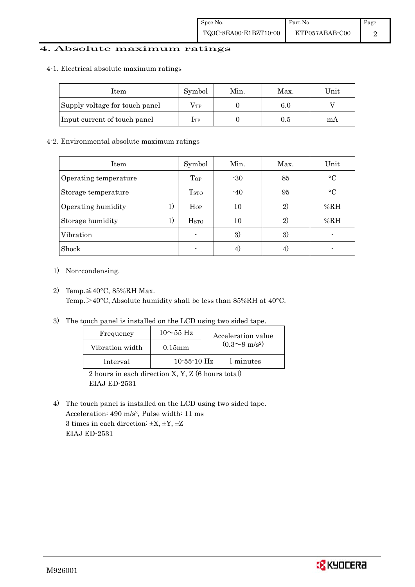## 4. Absolute maximum ratings

#### 4-1. Electrical absolute maximum ratings

| Item                           | Symbol       | Min. | Max. | Unit |
|--------------------------------|--------------|------|------|------|
| Supply voltage for touch panel | $\rm V_{TP}$ |      | 6.0  |      |
| Input current of touch panel   | Iтр          |      | 0.5  | mА   |

### 4-2. Environmental absolute maximum ratings

| Item                     | Symbol                  | Min.  | Max.         | Unit      |
|--------------------------|-------------------------|-------|--------------|-----------|
| Operating temperature    | Top                     | $-30$ | 85           | $\circ$ C |
| Storage temperature      | T <sub>STO</sub>        | $-40$ | 95           | $\circ$ C |
| Operating humidity<br>1) | Hop                     | 10    | $\mathbf{2}$ | %RH       |
| 1)<br>Storage humidity   | <b>H</b> <sub>STO</sub> | 10    | $\mathbf{2}$ | %RH       |
| Vibration                |                         | 3)    | 3)           |           |
| Shock                    |                         |       |              |           |

- 1) Non-condensing.
- 2) Temp. $\leq 40^{\circ}$ C, 85%RH Max. Temp.>40°C, Absolute humidity shall be less than 85%RH at 40°C.
- 3) The touch panel is installed on the LCD using two sided tape.

| Frequency       | $10\sim$ 55 Hz | Acceleration value           |
|-----------------|----------------|------------------------------|
| Vibration width | $0.15$ mm      | $(0.3 \sim 9 \text{ m/s}^2)$ |
| Interval        | $10-55-10$ Hz  | 1 minutes                    |

 2 hours in each direction X, Y, Z (6 hours total) EIAJ ED-2531

4) The touch panel is installed on the LCD using two sided tape. Acceleration: 490 m/s2, Pulse width: 11 ms 3 times in each direction:  $\pm X$ ,  $\pm Y$ ,  $\pm Z$ EIAJ ED-2531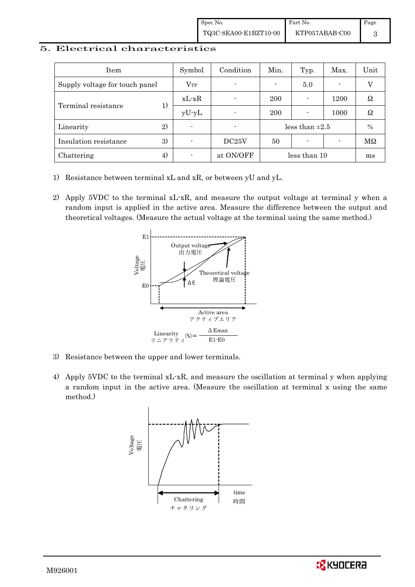### 5. Electrical characteristics

| Item                           | Symbol         | Condition                | Min.                | Typ.                     | Max.                     | Unit          |
|--------------------------------|----------------|--------------------------|---------------------|--------------------------|--------------------------|---------------|
| Supply voltage for touch panel | $V_{TP}$       | $\blacksquare$           |                     | 5.0                      | $\overline{\phantom{0}}$ |               |
| Terminal resistance            | $xL-xR$        |                          | 200                 |                          | 1200                     | Ω             |
|                                | $yU-yL$        | $\blacksquare$           | 200                 |                          | 1000                     | Ω             |
| 2)<br>Linearity                | $\blacksquare$ | $\overline{\phantom{0}}$ | less than $\pm 2.5$ |                          | $\%$                     |               |
| 3)<br>Insulation resistance    | -              | DC25V                    | 50                  | $\overline{\phantom{0}}$ |                          | $\rm M\Omega$ |
| 4)<br>Chattering               |                | at ON/OFF                |                     | less than 10             |                          | ms            |

- 1) Resistance between terminal xL and xR, or between yU and yL.
- 2) Apply 5VDC to the terminal xL-xR, and measure the output voltage at terminal y when a random input is applied in the active area. Measure the difference between the output and theoretical voltages. (Measure the actual voltage at the terminal using the same method.)



- 3) Resistance between the upper and lower terminals.
- 4) Apply 5VDC to the terminal xL-xR, and measure the oscillation at terminal y when applying a random input in the active area. (Measure the oscillation at terminal x using the same method.)



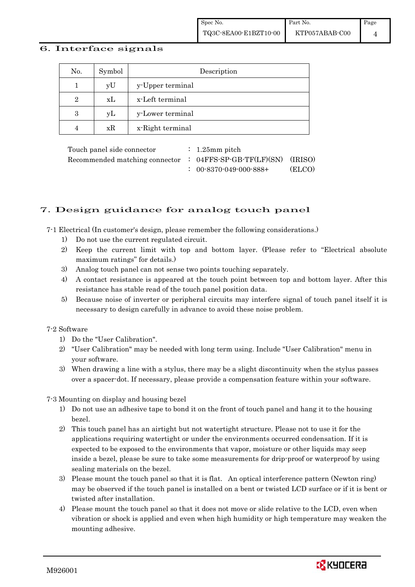#### 6. Interface signals

| No.            | Symbol | Description      |
|----------------|--------|------------------|
|                | yU     | y-Upper terminal |
| $\overline{2}$ | xL     | x-Left terminal  |
| 3              | yL     | y-Lower terminal |
|                | xR     | x-Right terminal |

Touch panel side connector : 1.25mm pitch Recommended matching connector : 04FFS-SP-GB-TF(LF)(SN) (IRISO) : 00-8370-049-000-888+ (ELCO)

## 7. Design guidance for analog touch panel

7-1 Electrical (In customer's design, please remember the following considerations.)

- 1) Do not use the current regulated circuit.
- 2) Keep the current limit with top and bottom layer. (Please refer to "Electrical absolute maximum ratings" for details.)
- 3) Analog touch panel can not sense two points touching separately.
- 4) A contact resistance is appeared at the touch point between top and bottom layer. After this resistance has stable read of the touch panel position data.
- 5) Because noise of inverter or peripheral circuits may interfere signal of touch panel itself it is necessary to design carefully in advance to avoid these noise problem.

#### 7-2 Software

- 1) Do the "User Calibration".
- 2) "User Calibration" may be needed with long term using. Include "User Calibration" menu in your software.
- 3) When drawing a line with a stylus, there may be a slight discontinuity when the stylus passes over a spacer-dot. If necessary, please provide a compensation feature within your software.

7-3 Mounting on display and housing bezel

- 1) Do not use an adhesive tape to bond it on the front of touch panel and hang it to the housing bezel.
- 2) This touch panel has an airtight but not watertight structure. Please not to use it for the applications requiring watertight or under the environments occurred condensation. If it is expected to be exposed to the environments that vapor, moisture or other liquids may seep inside a bezel, please be sure to take some measurements for drip-proof or waterproof by using sealing materials on the bezel.
- 3) Please mount the touch panel so that it is flat. An optical interference pattern (Newton ring) may be observed if the touch panel is installed on a bent or twisted LCD surface or if it is bent or twisted after installation.
- 4) Please mount the touch panel so that it does not move or slide relative to the LCD, even when vibration or shock is applied and even when high humidity or high temperature may weaken the mounting adhesive.

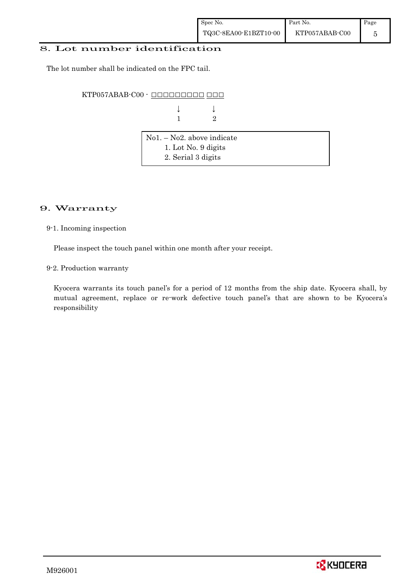### 8. Lot number identification

The lot number shall be indicated on the FPC tail.

KTP057ABAB-C00 - OOOOOOOOOOOOOOOO

| $\downarrow \qquad \qquad \downarrow$ |  |
|---------------------------------------|--|
| $1$ 2                                 |  |

| $\vert$ No1. – No2. above indicate |  |
|------------------------------------|--|
| 1. Lot No. 9 digits                |  |
| 2. Serial 3 digits                 |  |

## 9. Warranty

9-1. Incoming inspection

Please inspect the touch panel within one month after your receipt.

9-2. Production warranty

 Kyocera warrants its touch panel's for a period of 12 months from the ship date. Kyocera shall, by mutual agreement, replace or re-work defective touch panel's that are shown to be Kyocera's responsibility

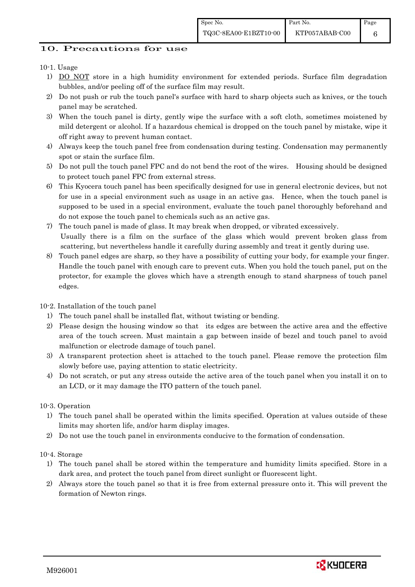6

## 10. Precautions for use

## 10-1. Usage

- 1) DO NOT store in a high humidity environment for extended periods. Surface film degradation bubbles, and/or peeling off of the surface film may result.
- 2) Do not push or rub the touch panel's surface with hard to sharp objects such as knives, or the touch panel may be scratched.
- 3) When the touch panel is dirty, gently wipe the surface with a soft cloth, sometimes moistened by mild detergent or alcohol. If a hazardous chemical is dropped on the touch panel by mistake, wipe it off right away to prevent human contact.
- 4) Always keep the touch panel free from condensation during testing. Condensation may permanently spot or stain the surface film.
- 5) Do not pull the touch panel FPC and do not bend the root of the wires. Housing should be designed to protect touch panel FPC from external stress.
- 6) This Kyocera touch panel has been specifically designed for use in general electronic devices, but not for use in a special environment such as usage in an active gas. Hence, when the touch panel is supposed to be used in a special environment, evaluate the touch panel thoroughly beforehand and do not expose the touch panel to chemicals such as an active gas.
- 7) The touch panel is made of glass. It may break when dropped, or vibrated excessively. Usually there is a film on the surface of the glass which would prevent broken glass from scattering, but nevertheless handle it carefully during assembly and treat it gently during use.
- 8) Touch panel edges are sharp, so they have a possibility of cutting your body, for example your finger. Handle the touch panel with enough care to prevent cuts. When you hold the touch panel, put on the protector, for example the gloves which have a strength enough to stand sharpness of touch panel edges.

## 10-2. Installation of the touch panel

- 1) The touch panel shall be installed flat, without twisting or bending.
- 2) Please design the housing window so that its edges are between the active area and the effective area of the touch screen. Must maintain a gap between inside of bezel and touch panel to avoid malfunction or electrode damage of touch panel.
- 3) A transparent protection sheet is attached to the touch panel. Please remove the protection film slowly before use, paying attention to static electricity.
- 4) Do not scratch, or put any stress outside the active area of the touch panel when you install it on to an LCD, or it may damage the ITO pattern of the touch panel.

## 10-3. Operation

- 1) The touch panel shall be operated within the limits specified. Operation at values outside of these limits may shorten life, and/or harm display images.
- 2) Do not use the touch panel in environments conducive to the formation of condensation.

## 10-4. Storage

- 1) The touch panel shall be stored within the temperature and humidity limits specified. Store in a dark area, and protect the touch panel from direct sunlight or fluorescent light.
- 2) Always store the touch panel so that it is free from external pressure onto it. This will prevent the formation of Newton rings.

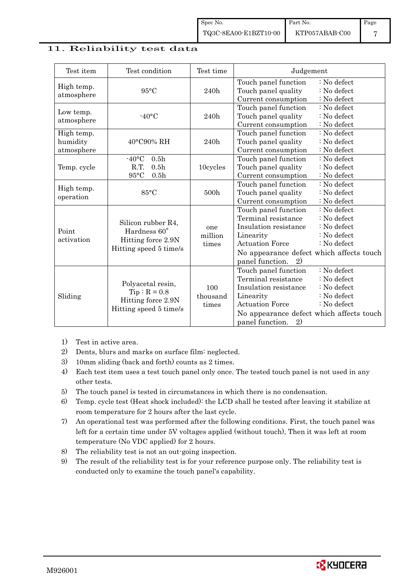### 11. Reliability test data

| Test item                            | Test condition                                                                                 | Test time                | Judgement                                                                                                                                                                                                                                                   |
|--------------------------------------|------------------------------------------------------------------------------------------------|--------------------------|-------------------------------------------------------------------------------------------------------------------------------------------------------------------------------------------------------------------------------------------------------------|
| High temp.<br>atmosphere             | $95^{\circ}$ C                                                                                 | 240h                     | Touch panel function<br>: No defect<br>Touch panel quality<br>: No defect<br>Current consumption<br>: No defect                                                                                                                                             |
| Low temp.<br>atmosphere              | $-40$ °C                                                                                       | 240h                     | Touch panel function<br>: No defect<br>Touch panel quality<br>: No defect<br>Current consumption<br>: No defect                                                                                                                                             |
| High temp.<br>humidity<br>atmosphere | 40°C90% RH                                                                                     | 240h                     | Touch panel function<br>: No defect<br>Touch panel quality<br>: No defect<br>Current consumption<br>: No defect                                                                                                                                             |
| Temp. cycle                          | 0.5 <sub>h</sub><br>$-40$ °C<br>R.T.<br>0.5 <sub>h</sub><br>$95^{\circ}$ C<br>0.5 <sub>h</sub> | 10cycles                 | Touch panel function<br>$\therefore$ No defect<br>Touch panel quality<br>: No defect<br>Current consumption<br>: No defect                                                                                                                                  |
| High temp.<br>operation              | $85^{\circ}$ C                                                                                 | 500h                     | Touch panel function<br>: No defect<br>Touch panel quality<br>: No defect<br>Current consumption<br>: No defect                                                                                                                                             |
| Point<br>activation                  | Silicon rubber R4,<br>Hardness 60°<br>Hitting force 2.9N<br>Hitting speed 5 time/s             | one<br>million<br>times  | Touch panel function<br>: No defect<br>Terminal resistance<br>: No defect<br>Insulation resistance<br>: No defect<br>: No defect<br>Linearity<br><b>Actuation Force</b><br>: No defect<br>No appearance defect which affects touch<br>panel function.<br>2) |
| Sliding                              | Polyacetal resin,<br>$Tip: R = 0.8$<br>Hitting force 2.9N<br>Hitting speed 5 time/s            | 100<br>thousand<br>times | : No defect<br>Touch panel function<br>Terminal resistance<br>: No defect<br>Insulation resistance<br>: No defect<br>: No defect<br>Linearity<br><b>Actuation Force</b><br>: No defect<br>No appearance defect which affects touch<br>panel function.<br>2) |

- 1) Test in active area.
- 2) Dents, blurs and marks on surface film: neglected.
- 3) 10mm sliding (back and forth) counts as 2 times.
- 4) Each test item uses a test touch panel only once. The tested touch panel is not used in any other tests.
- 5) The touch panel is tested in circumstances in which there is no condensation.
- 6) Temp. cycle test (Heat shock included): the LCD shall be tested after leaving it stabilize at room temperature for 2 hours after the last cycle.
- 7) An operational test was performed after the following conditions. First, the touch panel was left for a certain time under 5V voltages applied (without touch), Then it was left at room temperature (No VDC applied) for 2 hours.
- 8) The reliability test is not an out-going inspection.
- 9) The result of the reliability test is for your reference purpose only. The reliability test is conducted only to examine the touch panel's capability.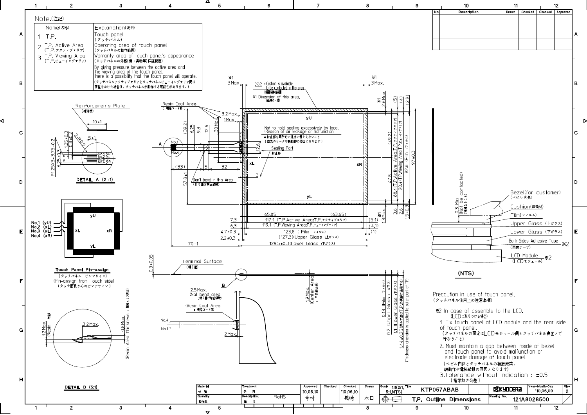

∢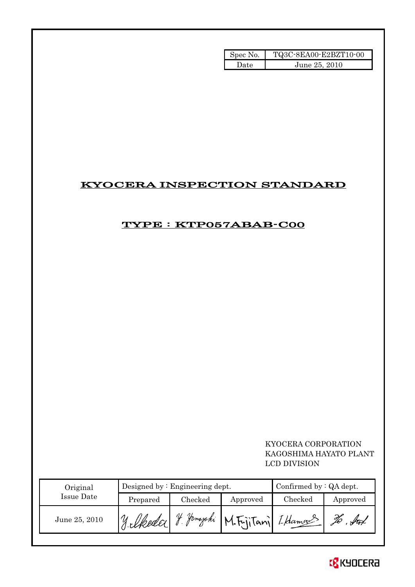| Spec No. | TQ3C-8EA00-E2BZT10-00 |
|----------|-----------------------|
| Date     | June 25, 2010         |

## KYOCERA INSPECTION STANDARD

## TYPE : KTP057ABAB-C00

## KYOCERA CORPORATION KAGOSHIMA HAYATO PLANT LCD DIVISION

| Original      | Designed by $:$ Engineering dept. |         |                                  | Confirmed by $:QA$ dept. |          |  |
|---------------|-----------------------------------|---------|----------------------------------|--------------------------|----------|--|
| Issue Date    | Prepared                          | Checked | Approved                         | Checked                  | Approved |  |
| June 25, 2010 | 19 Medda 1.                       | V       | 1. Hamajaki M. Fujitani Iklamans |                          | Žo       |  |

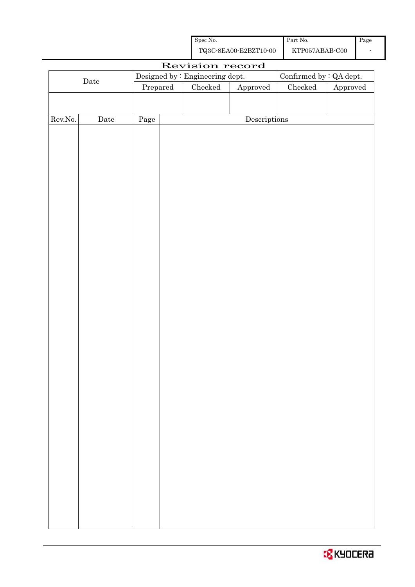| Spec No.              | Part No.       | Page |
|-----------------------|----------------|------|
| TQ3C-8EA00-E2BZT10-00 | KTP057ABAB-C00 |      |

|                                                                                           |             |          |  | Revision record |                        |               |          |
|-------------------------------------------------------------------------------------------|-------------|----------|--|-----------------|------------------------|---------------|----------|
| Confirmed by $\colon$ QA dept.<br>Designed by : Engineering dept.<br>$\rm{\textbf{Date}}$ |             |          |  |                 |                        |               |          |
|                                                                                           |             | Prepared |  | Checked         | ${\Large\bf Approved}$ | $\rm Checked$ | Approved |
|                                                                                           |             |          |  |                 |                        |               |          |
|                                                                                           |             |          |  |                 |                        |               |          |
| Rev.No.                                                                                   | $\rm{Date}$ | Page     |  |                 | Descriptions           |               |          |
|                                                                                           |             |          |  |                 |                        |               |          |
|                                                                                           |             |          |  |                 |                        |               |          |
|                                                                                           |             |          |  |                 |                        |               |          |
|                                                                                           |             |          |  |                 |                        |               |          |
|                                                                                           |             |          |  |                 |                        |               |          |
|                                                                                           |             |          |  |                 |                        |               |          |
|                                                                                           |             |          |  |                 |                        |               |          |
|                                                                                           |             |          |  |                 |                        |               |          |
|                                                                                           |             |          |  |                 |                        |               |          |
|                                                                                           |             |          |  |                 |                        |               |          |
|                                                                                           |             |          |  |                 |                        |               |          |
|                                                                                           |             |          |  |                 |                        |               |          |
|                                                                                           |             |          |  |                 |                        |               |          |
|                                                                                           |             |          |  |                 |                        |               |          |
|                                                                                           |             |          |  |                 |                        |               |          |
|                                                                                           |             |          |  |                 |                        |               |          |
|                                                                                           |             |          |  |                 |                        |               |          |
|                                                                                           |             |          |  |                 |                        |               |          |
|                                                                                           |             |          |  |                 |                        |               |          |
|                                                                                           |             |          |  |                 |                        |               |          |
|                                                                                           |             |          |  |                 |                        |               |          |
|                                                                                           |             |          |  |                 |                        |               |          |
|                                                                                           |             |          |  |                 |                        |               |          |
|                                                                                           |             |          |  |                 |                        |               |          |
|                                                                                           |             |          |  |                 |                        |               |          |
|                                                                                           |             |          |  |                 |                        |               |          |
|                                                                                           |             |          |  |                 |                        |               |          |
|                                                                                           |             |          |  |                 |                        |               |          |
|                                                                                           |             |          |  |                 |                        |               |          |
|                                                                                           |             |          |  |                 |                        |               |          |
|                                                                                           |             |          |  |                 |                        |               |          |
|                                                                                           |             |          |  |                 |                        |               |          |
|                                                                                           |             |          |  |                 |                        |               |          |
|                                                                                           |             |          |  |                 |                        |               |          |
|                                                                                           |             |          |  |                 |                        |               |          |
|                                                                                           |             |          |  |                 |                        |               |          |
|                                                                                           |             |          |  |                 |                        |               |          |
|                                                                                           |             |          |  |                 |                        |               |          |
|                                                                                           |             |          |  |                 |                        |               |          |
|                                                                                           |             |          |  |                 |                        |               |          |

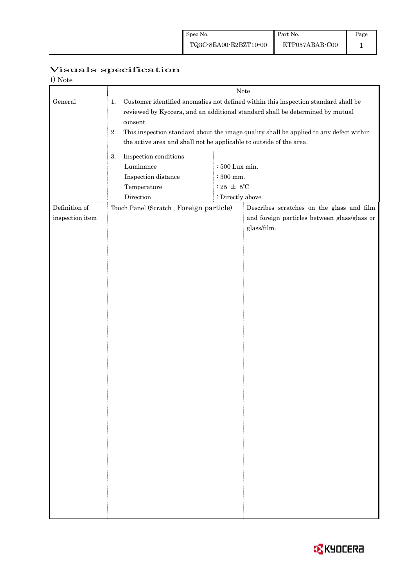| Visuals specification |
|-----------------------|

| 1) Note                          |                                                                                             |                                                                                                                                                                                                                                                               |                                                                                                          |  |  |
|----------------------------------|---------------------------------------------------------------------------------------------|---------------------------------------------------------------------------------------------------------------------------------------------------------------------------------------------------------------------------------------------------------------|----------------------------------------------------------------------------------------------------------|--|--|
|                                  | Note                                                                                        |                                                                                                                                                                                                                                                               |                                                                                                          |  |  |
| General                          | 1.<br>consent.<br>2.<br>the active area and shall not be applicable to outside of the area. | Customer identified anomalies not defined within this inspection standard shall be<br>reviewed by Kyocera, and an additional standard shall be determined by mutual<br>This inspection standard about the image quality shall be applied to any defect within |                                                                                                          |  |  |
|                                  | Inspection conditions<br>3.<br>Luminance<br>Inspection distance<br>Temperature<br>Direction | : 500 Lux min.<br>$\therefore$ 300 mm.<br>: 25 $\pm$ 5°C<br>: Directly above                                                                                                                                                                                  |                                                                                                          |  |  |
| Definition of<br>inspection item | Touch Panel (Scratch, Foreign particle)                                                     |                                                                                                                                                                                                                                                               | Describes scratches on the glass and film<br>and foreign particles between glass/glass or<br>glass/film. |  |  |
|                                  |                                                                                             |                                                                                                                                                                                                                                                               |                                                                                                          |  |  |